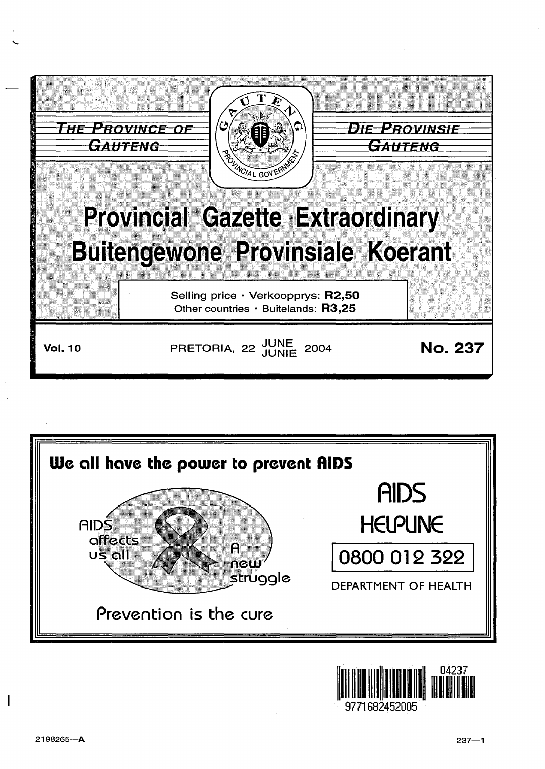



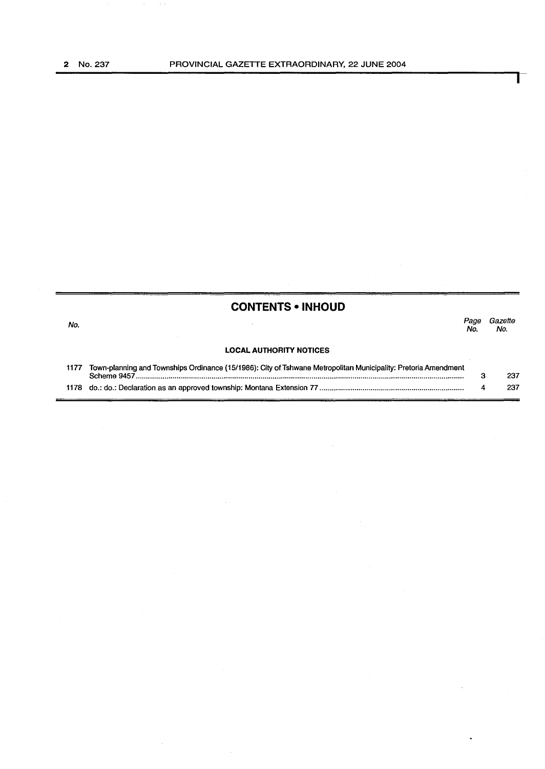|      | <b>CONTENTS • INHOUD</b>                                                                                       |             |                |
|------|----------------------------------------------------------------------------------------------------------------|-------------|----------------|
| No.  |                                                                                                                | Page<br>No. | Gazette<br>No. |
|      | <b>LOCAL AUTHORITY NOTICES</b>                                                                                 |             |                |
| 1177 | Town-planning and Townships Ordinance (15/1986): City of Tshwane Metropolitan Municipality: Pretoria Amendment | 3           | 237            |
|      |                                                                                                                | 4           | 237            |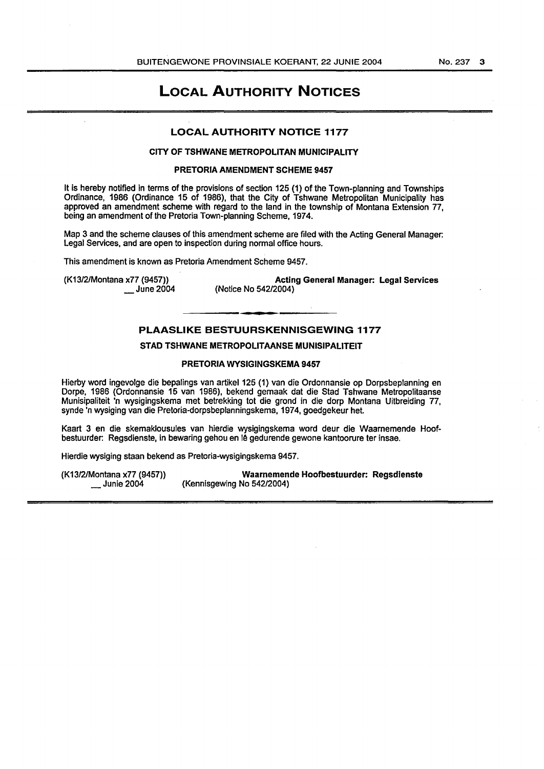### LOCAL AUTHORITY NOTICES

#### LOCAL AUTHORITY NOTICE 1177

#### CITY OF TSHWANE METROPOLITAN MUNICIPALITY

#### PRETORIA AMENDMENT SCHEME 9457

It is hereby notified in terms of the provisions of section 125 (1) of the Town-planning and Townships Ordinance, 1986 (Ordinance 15 of 1986), that the City of Tshwane Metropolitan Municipality has approved an amendment scheme with regard to the land in the township of Montana Extension 77, being an amendment of the Pretoria Town-planning Scheme, 1974.

Map 3 and the scheme clauses of this amendment scheme are filed with the Acting General Manager: Legal Services, and are open to inspection during normal office hours.

This amendment is known as Pretoria Amendment Scheme 9457.

(K13/2/Montana x77 (9457)) June 2004

Acting General Manager: Legal Services (Notice No 542/2004)

#### PLAASLIKE BESTUURSKENNISGEWING 1177

#### STAD TSHWANE METROPOLITAANSE MUNISIPALITEIT

#### PRETORIA WYSIGINGSKEMA 9457

Hierby word ingevolge die bepalings van artikel 125 (1) van die Ordonnansie op Dorpsbeplanning en Dorpe, 1986 (Ordonnansie 15 van 1986), bekend gemaak dat die Stad Tshwane Metropolitaanse Munisipaliteit 'n wysigingskema met betrekking tot die grond in die dorp Montana Uitbreiding 77, synde 'n wysiging van die Pretoria-dorpsbeplanningskema, 1974, goedgekeur het.

Kaart 3 en die skemaklousules van hierdie wysigingskema word deur die Waarnemende Hoofbestuurder: Regsdienste, in bewaring gehou en lê gedurende gewone kantoorure ter insae.

Hierdie wysiging staan bekend as Pretoria-wysigingskema 9457.

(K13/2/Montana x77 (9457)) Waarnemende Hoofbestuurder: Regsdienste (Kennisgewing No 542/2004)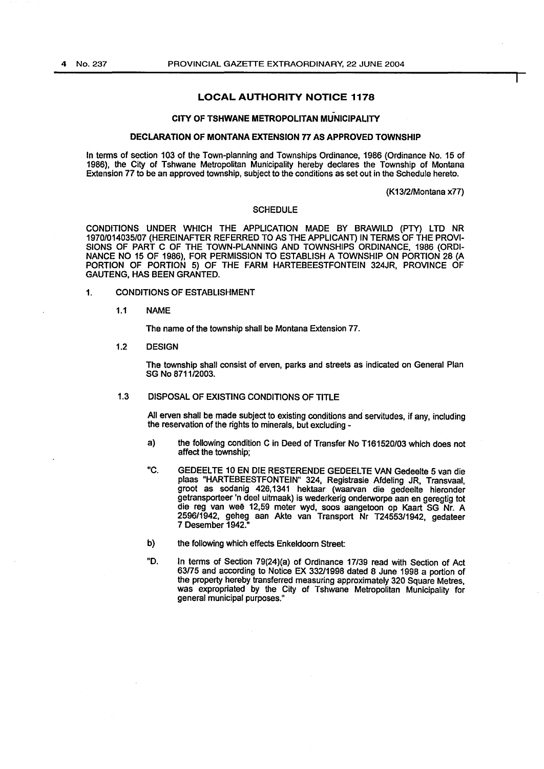#### LOCAL AUTHORITY NOTICE 1178

#### CITY OF TSHWANE METROPOLITAN MUNICIPALITY

#### DECLARATION OF MONTANA EXTENSION 77 AS APPROVED TOWNSHIP

In terms of section 103 of the Town-planning and Townships Ordinance, 1986 (Ordinance No. 15 of 1986), the City of Tshwane Metropolitan Municipality hereby declares the Township of Montana Extension 77 to be an approved township, subject to the conditions as set out in the Schedule hereto.

(K13/2/Montana x77)

#### **SCHEDULE**

CONDITIONS UNDER WHICH THE APPLICATION MADE BY BRAWILD (PTY) LTD NR 1970/014035/07 (HEREINAFTER REFERRED TO AS THE APPLICANT) IN TERMS OF THE PROVI-SIONS OF PART C OF THE TOWN-PLANNING AND TOWNSHIPS ORDINANCE, 1986 (ORDI-NANCE NO 15 OF 1986), FOR PERMISSION TO ESTABLISH A TOWNSHIP ON PORTION 28 (A PORTION OF PORTION 5) OF THE FARM HARTEBEESTFONTEIN 324JR, PROVINCE OF GAUTENG, HAS BEEN GRANTED.

- 1. CONDITIONS OF ESTABLISHMENT
	- 1.1 NAME

The name of the township shall be Montana Extension 77.

1.2 DESIGN

The township shall consist of erven, parks and streets as indicated on General Plan SG No 8711/2003.

#### 1.3 DISPOSAL OF EXISTING CONDITIONS OF TITLE

All erven shall be made subject to existing conditions and servitudes, if any, including the reservation of the rights to minerals, but excluding -

- a) the following condition C in Deed of Transfer No T161520/03 which does not affect the township;
- "C. GEDEELTE 10 EN DIE RESTERENDE GEDEELTE VAN Gedeelte 5 van die plaas "HARTEBEESTFONTEIN" 324, Registrasie Afdeling JR, Transvaal, groat as sodanig 426,1341 hektaar (waarvan die gedeelte hieronder getransporteer 'n deel uitrnaak) is wederkerig onderworpe aan en geregtig tot die reg van weë 12,59 meter wyd, soos aangetoon op Kaart SG Nr. A 2596/1942, geheg aan Akte van Transport Nr T24553/1942, gedateer 7 Desember 1942."
- b) the following which effects Enkeldoorn Street:
- "D. In terms of Section 79(24)(a) of Ordinance 17/39 read with Section of Act 63/75 and according to Notice EX 332/1998 dated 8 June 1998 a portion of the property hereby transferred measuring approximately 320 Square Metres, was expropriated by the City of Tshwane Metropolitan Municipality for general municipal purposes."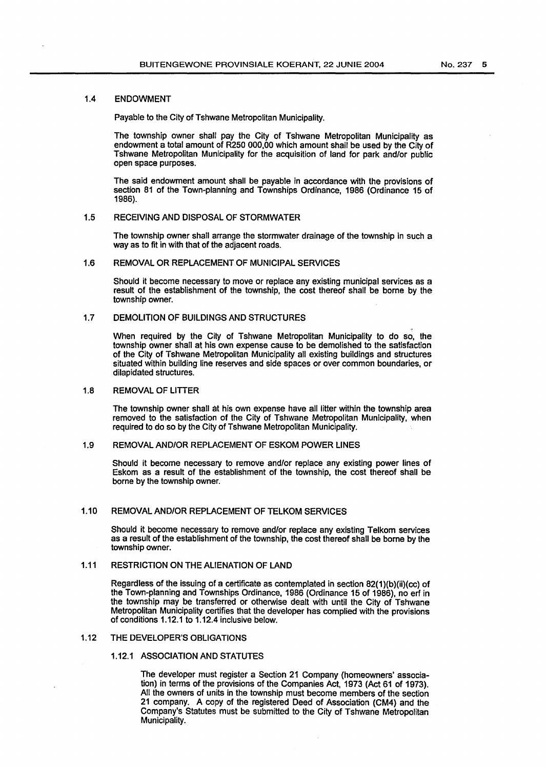#### 1.4 ENDOWMENT

Payable to the City of Tshwane Metropolitan Municipality.

The township owner shall pay the City of Tshwane Metropolitan Municipality as endowment a total amount of R250 000,00 which amount shall be used by the City of Tshwane Metropolitan Municipality for the acquisition of land for park and/or public open space purposes.

The said endowment amount shall be payable in accordance with the provisions of section 81 of the Town-planning and Townships Ordinance, 1986 (Ordinance 15 of 1986}.

#### 1.5 RECEIVING AND DISPOSAL OF STORMWATER

The township owner shall arrange the stormwater drainage of the township in such a way as to fit in with that of the adjacent roads.

#### 1.6 REMOVAL OR REPLACEMENT OF MUNICIPAL SERVICES

Should it become necessary to move or replace any existing municipal services as a result of the establishment of the township, the cost thereof shall be borne by the township owner.

#### 1.7 DEMOLITION OF BUILDINGS AND STRUCTURES

When required by the City of Tshwane Metropolitan Municipality to do so, the township owner shall at his own expense cause to be demolished to the satisfaction of the City of Tshwane Metropolitan Municipality all existing buildings and structures situated within building line reserves and side spaces or over common boundaries, or dilapidated structures.

#### 1.8 REMOVAL OF LITTER

The township owner shall at his own expense have all litter within the township area removed to the satisfaction of the City of Tshwane Metropolitan Municipality, when required to do so by the City of Tshwane Metropolitan Municipality.

#### 1.9 REMOVAL AND/OR REPLACEMENT OF ESKOM POWER LINES

Should it become necessary to remove and/or replace any existing power lines of Eskom as a result of the establishment of the township, the cost thereof shall be borne by the township owner.

#### 1.10 REMOVAL AND/OR REPLACEMENT OF TELKOM SERVICES

Should it become necessary to remove and/or replace any existing Telkom services as a result of the establishment of the township, the cost thereof shall be borne by the township owner.

#### 1.11 RESTRICTION ON THE ALIENATION OF LAND

Regardless of the issuing of a certificate as contemplated in section 82(1}(b}(ii}(cc} of the Town-planning and Townships Ordinance, 1986 (Ordinance 15 of 1986}, no erf in the township may be transferred or otherwise dealt with until the City of Tshwane Metropolitan Municipality certifies that the developer has complied with the provisions of conditions 1.12.1 to 1.12.4 inclusive below.

#### 1.12 THE DEVELOPER'S OBLIGATIONS

#### 1.12.1 ASSOCIATION AND STATUTES

The developer must register a Section 21 Company (homeowners' association} in terms of the provisions of the Companies Act, 1973 (Act 61 of 1973}. All the owners of units in the township must become members of the section 21 company. A copy of the registered Deed of Association (CM4) and the Company's Statutes must be submitted to the City of Tshwane Metropolitan Municipality.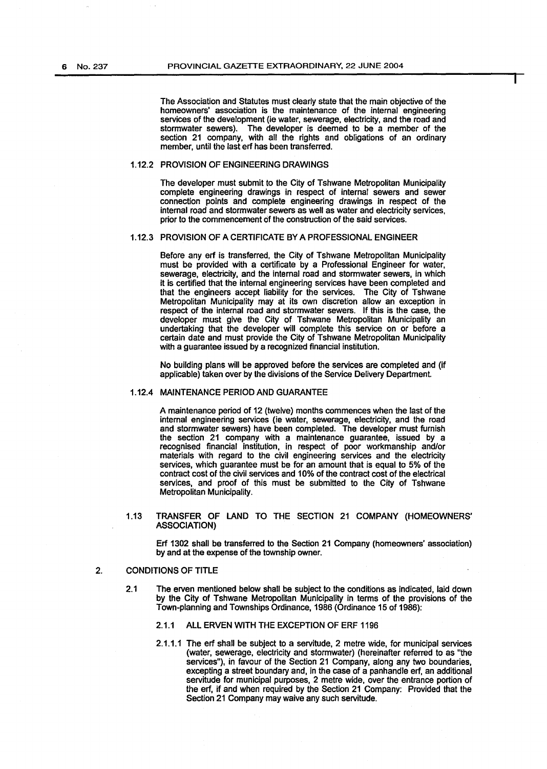The Association and Statutes must clearly state that the main objective of the homeowners' association is the maintenance of the internal engineering services of the development (ie water, sewerage, electricity, and the road and stormwater sewers). The developer is deemed to be a member of the section 21 company, with all the rights and obligations of an ordinary member, until the last erf has been transferred.

#### 1.12.2 PROVISION OF ENGINEERING DRAWINGS

The developer must submit to the City of Tshwane Metropolitan Municipality complete engineering drawings in respect of internal sewers and sewer connection points and complete engineering drawings in respect of the internal road and stormwater sewers as well as water and electricity services, prior to the commencement of the construction of the said services.

#### 1.12.3 PROVISION OF A CERTIFICATE BY A PROFESSIONAL ENGINEER

Before any erf is transferred, the City of Tshwane Metropolitan Municipality must be provided with a certificate by a Professional Engineer for water, sewerage, electricity, and the internal road and stormwater sewers, in which it is certified that the internal engineering services have been completed and that the engineers accept liability for the services. The City of Tshwane Metropolitan Municipality may at its own discretion allow an exception in respect of the internal road and stormwater sewers. If this is the case, the developer must give the City of Tshwane Metropolitan Municipality an undertaking that the developer will complete this service on or before a certain date and must provide the City of Tshwane Metropolitan Municipality with a quarantee issued by a recognized financial institution.

No building plans will be approved before the services are completed and (if applicable) taken over by the divisions of the Service Delivery Department.

#### 1.12.4 MAINTENANCE PERIOD AND GUARANTEE

A maintenance period of 12 (twelve) months commences when the last of the internal engineering services (ie water, sewerage, electricity, and the road and stormwater sewers} have been completed. The developer must furnish the section 21 company with a maintenance guarantee, issued by a recognised financial institution, in respect of poor workmanship and/or materials with regard to the civil engineering services and the electricity services, which guarantee must be for an amount that is equal to 5% of the contract cost of the civil services and 10% of the contract cost of the electrical services, and proof of this must be submitted to the City of Tshwane Metropolitan Municipality.

#### 1.13 TRANSFER OF LAND TO THE SECTION 21 COMPANY (HOMEOWNERS' ASSOCIATION}

Erf 1302 shall be transferred to the Section 21 Company (homeowners' association) by and at the expense of the township owner.

#### 2. CONDITIONS OF TITLE

- 2.1 The erven mentioned below shall be subject to the conditions as indicated, laid down by the City of Tshwane Metropolitan Municipality in terms of the provisions of the Town-planning and Townships Ordinance, 1986 (Ordinance 15 of 1986):
	- 2.1.1 ALL ERVEN WITH THE EXCEPTION OF ERF 1196
	- 2.1.1.1 The erf shall be subject to a servitude, 2 metre wide, for municipal services (water, sewerage, electricity and stormwater) (hereinafter referred to as "the services"), in favour of the Section 21 Company, along any two boundaries, excepting a street boundary and, in the case of a panhandle erf, an additional servitude for municipal purposes, 2 metre wide, over the entrance portion of the erf, if and when required by the Section 21 Company: Provided that the Section 21 Company may waive any such servitude.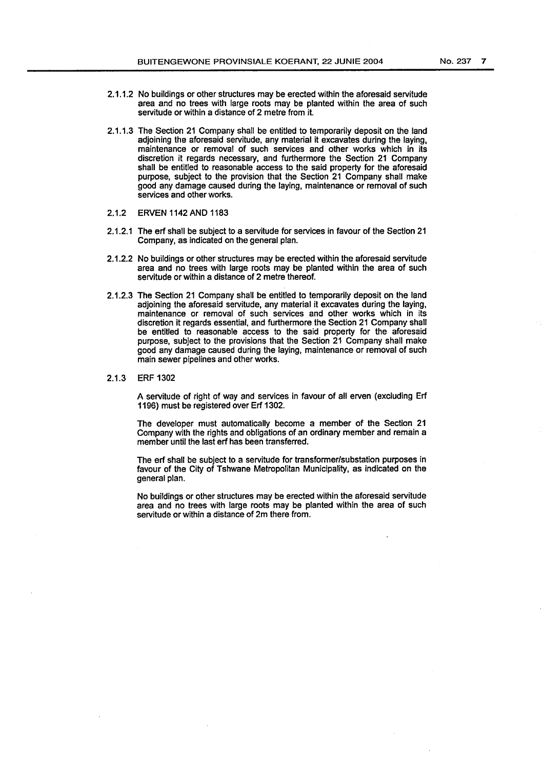- 2.1.1.2 No buildings or other structures may be erected within the aforesaid servitude area and no trees with large roots may be planted within the area of such servitude or within a distance of 2 metre from it.
- 2.1.1.3 The Section 21 Company shall be entitled to temporarily deposit on the land adjoining the aforesaid servitude, any material it excavates during the laying, maintenance or removal of such services and other works which in its discretion it regards necessary, and furthermore the Section 21 Company shall be entitled to reasonable access to the said property for the aforesaid purpose, subject to the provision that the Section 21 Company shall make good any damage caused during the laying, maintenance or removal of such services and other works.
- 2.1.2 ERVEN 1142AND 1183
- 2.1.2.1 The erf shall be subject to a servitude for services in favour of the Section 21 Company, as indicated on the general plan.
- 2.1.2.2 No buildings or other structures may be erected within the aforesaid servitude area and no trees with large roots may be planted within the area of such servitude or within a distance of 2 metre thereof.
- 2.1.2.3 The Section 21 Company shall be entitled to temporarily deposit on the land adjoining the aforesaid servitude, any material it excavates during the laying, maintenance or removal of such services and other works which in its discretion it regards essential, and furthermore the Section 21 Company shall be entitled to reasonable access to the said property for the aforesaid purpose, subject to the provisions that the Section 21 Company shall make good any damage caused during the laying, maintenance or removal of such main sewer pipelines and other works.

#### 2.1.3 ERF 1302

A servitude of right of way and services in favour of all erven (excluding Erf 1196) must be registered over Erf 1302.

The developer must automatically become a member of the Section 21 Company with the rights and obligations of an ordinary member and remain a member until the last erf has been transferred.

The erf shall be subject to a servitude for transformer/substation purposes in favour of the City of Tshwane Metropolitan Municipality, as indicated on the general plan.

No buildings or other structures may be erected within the aforesaid servitude area and no trees with large roots may be planted within the area of such servitude or within a distance of 2m there from.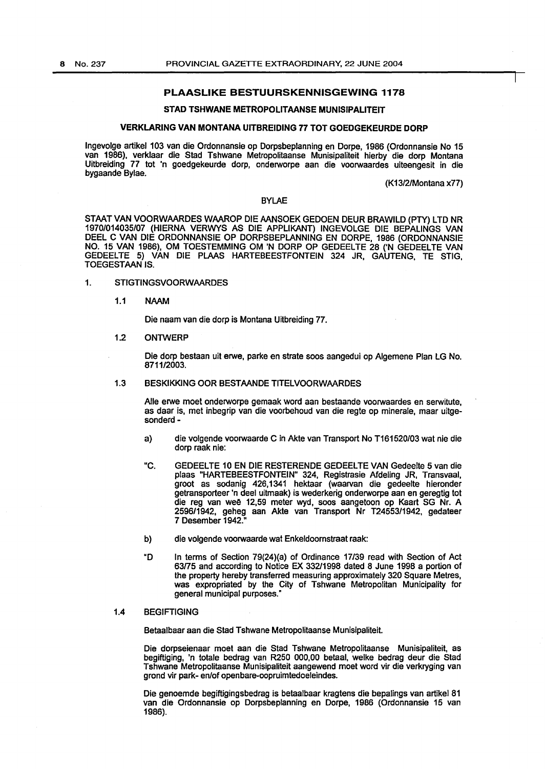#### PLAASLIKE BESTUURSKENNISGEWING 1178

#### STAD TSHWANE METROPOLITAANSE MUNISIPALITEIT

#### VERKLARING VAN MONTANA UITBREIDING 77 TOT GOEDGEKEURDE DORP

Ingevolge artikel 103 van die Ordonnansie op Dorpsbeplanning en Dorpe, 1986 (Ordonnansie No 15 van 1986), verklaar die Stad Tshwane Metropolitaanse Munisipaliteit hierby die dorp Montana Uitbreiding 77 tot 'n goedgekeurde dorp, onderworpe aan die voorwaardes uiteengesit in die bygaande Bylae.

(K13/2/Montana x77)

#### BYLAE

STAAT VAN VOORWAARDES WAAROP DIE AANSOEK GEDOEN DEUR BRAWILD (PTY) LTD NR 1970/014035/07 (HIERNA VERWYS AS DIE APPLIKANT) INGEVOLGE DIE BEPALINGS VAN DEEL C VAN DIE ORDONNANSIE OP DORPSBEPLANNING EN DORPE, 1986 (ORDONNANSIE NO. 15 VAN 1986), OM TOESTEMMING OM 'N DORP OP GEDEELTE 28 ('N GEDEELTE VAN GEDEELTE 5) VAN DIE PLAAS HARTEBEESTFONTEIN 324 JR, GAUTENG, TE STIG, TOEGESTAAN IS.

#### 1. STIGTINGSVOORWAARDES

#### 1.1 NAAM

Die naam van die dorp is Montana Uitbreiding 77.

#### 1.2 ONTWERP

Die dorp bestaan uit erwe, parke en strate soos aangedui op Algemene Plan LG No. 8711/2003.

#### 1.3 BESKIKKING OOR BESTAANDE TITELVOORWAARDES

Aile erwe moet onderworpe gemaak word aan bestaande voorwaardes en serwitute, as daar is, met inbegrip van die voorbehoud van die regte op minerale, maar uitgesonderd-

- a) die volgende voorwaarde C in Akte van Transport No 1161520/03 wat nie die dorp raak nie:
- "C. GEDEELTE 10 EN DIE RESTERENDE GEDEELTE VAN Gedeelte 5 van die plaas "HARTEBEESTFONTEIN" 324, Registrasie Afdeling JR, Transvaal, groot as sodanig 426,1341 hektaar (waarvan die gedeelte hieronder getransporteer 'n dee! uitmaak) is wederkerig onderworpe aan en geregtig tot die reg van wee 12,59 meter wyd, soos aangetoon op Kaart SG Nr. A 2596/1942, geheg aan Akte van Transport Nr T24553/1942, gedateer 7 Desember 1942."
- b) die volgende voorwaarde wat Enkeldoornstraat raak:
- "D In terms of Section 79(24)(a) of Ordinance 17/39 read with Section of Act 63/75 and according to Notice EX 332/1998 dated 8 June 1998 a portion of the property hereby transferred measuring approximately 320 Square Metres, was expropriated by the City of Tshwane Metropolitan Municipality for general municipal purposes."

#### 1.4 BEGIFTIGING

Betaalbaar aan die Stad Tshwane Metropolitaanse Munisipaliteit.

Die dorpseienaar moet aan die Stad Tshwane Metropolitaanse Munisipaliteit, as begiftiging, 'n totale bedrag van R250 000,00 betaal, welke bedrag deur die Stad Tshwane Metropolitaanse Munisipaliteit aangewend moet word vir die verkryging van grond vir park- en/of openbare-oopruimtedoeleindes.

Die genoemde begiftigingsbedrag is betaalbaar kragtens die bepalings van artikel 81 van die Ordonnansie op Dorpsbeplanning en Dorpe, 1986 (Ordonnansie 15 van 1986).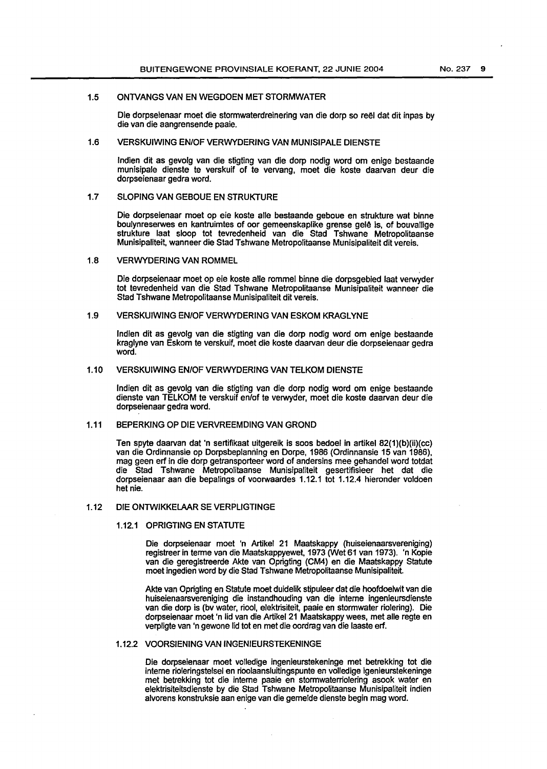#### 1.5 ONTVANGS VAN EN WEGDOEN MET STORMWATER

Die dorpseienaar moet die stormwaterdreinering van die dorp so reel dat dit inpas by die van die aangrensende paaie.

#### 1.6 VERSKUIWING EN/OF VERWYDERING VAN MUNISIPALE DIENSTE

Indian dit as gevolg van die stigting van die dorp nodig word om enige bestaande munisipale dienste te verskuif of te vervang, moet die koste daarvan deur die dorpseienaar gedra word.

#### 1.7 SLOPING VAN GEBOUE EN STRUKTURE

Die dorpseienaar moet op eie koste aile bestaande geboue en strukture wat binne boulynreserwes en kantruimtes of oor gemeenskaplike grense gelê is, of bouvallige strukture laat sloop tot tevredenheid van die Stad Tshwane Metropolitaanse Munisipaliteit, wanneer die Stad Tshwane Metropolitaanse Munisipaliteit dit vereis.

#### 1.8 VERWYDERING VAN ROMMEL

Die dorpseienaar moet op eie koste aile rommel binne die dorpsgebied laat verwyder tot tevredenheid van die Stad Tshwane Metropolitaanse Munisipaliteit wanneer die Stad Tshwane Metropolitaanse Munisipaliteit dit vereis.

#### 1.9 VERSKUIWING EN/OF VERWYDERING VAN ESKOM KRAGLYNE

Indian dit as gevolg van die stigting van die dorp nodig word om enige bestaande kraglyne van Eskom te verskuif, meet die koste daarvan deur die dorpseienaar gedra word.

#### 1.10 VERSKUIWING EN/OF VERWYDERING VAN TELKOM DIENSTE

lndien dit as gevolg van die stigting van die dorp nodig word om enige bestaande dienste van TELKOM te verskuif en/of te verwyder, moet die koste daarvan deur die dorpseienaar gedra word.

#### 1.11 BEPERKING OP DIE VERVREEMDING VAN GROND

Ten spyte daarvan dat 'n sertifikaat uitgereik is soos bedoel in artikel 82{1)(b)(ii){cc) van die Ordinnansie op Dorpsbeplanning en Dorpe, 1986 {Ordinnansie 15 van 1986), mag geen erf in die dorp getransporteer word of andersins mee gehandel word totdat die Stad Tshwane Metropolitaanse Munisipaliteit gesertifisieer het dat die dorpseienaar aan die bepalings of voorwaardes 1.12.1 tot 1.12.4 hieronder voldoen het nie.

#### 1.12 DIE ONTWIKKELAAR SE VERPLIGTINGE

#### 1.12.1 OPRIGTING EN STATUTE

Die dorpseienaar moet 'n Artikel 21 Maatskappy {huiseienaarsvereniging) registreer in terme van die Maatskappyewet, 1973 {Wet 61 van 1973). 'n Kopie van die geregistreerde Akte van Oprigting (CM4) en die Maatskappy Statute moet ingedien word by die Stad Tshwane Metropolitaanse Munisipaliteit.

Akte van Oprigting en Statute moet duidelik stipuleer dat die hoofdoelwit van die huiseienaarsvereniging die instandhouding van die interne ingenieursdienste van die dorp is (bv water, riool, elektrisiteit, paaie en stormwater riolering). Die dorpseienaar moet 'n lid van die Artikel 21 Maatskappy wees, met aile regte en verpligte van 'n gewone lid tot en met die oordrag van die laaste erf.

#### 1.12.2 VOORSIENING VAN INGENIEURSTEKENINGE

Die dorpseienaar moet volledige ingenieurstekeninge met betrekking tot die interne rioleringstelsel en rioolaansluitingspunte en volledige igenieurstekeninge met betrekking tot die interne paaie en stormwaterriolering asook water en elektrisiteitsdienste by die Stad Tshwane Metropolitaanse Munisipaliteit indien alvorens konstruksie aan enige van die gemelde dienste begin mag word.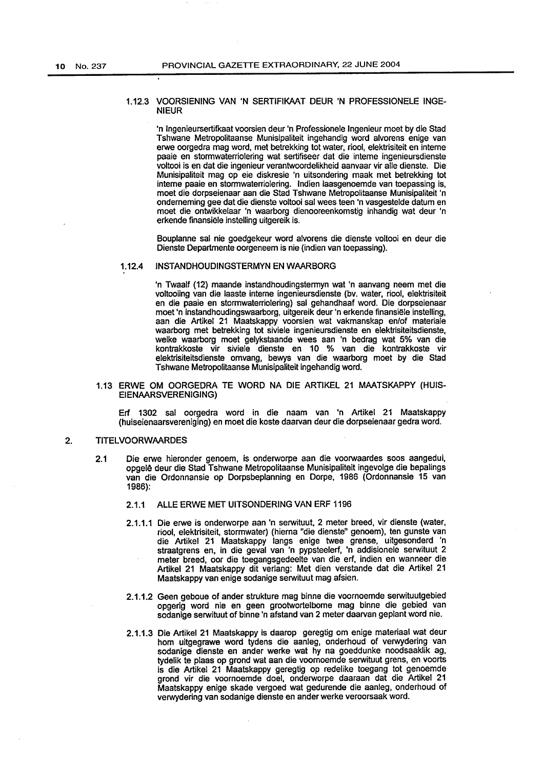#### 1.12.3 VOORSIENING VAN 'N SERTIFIKAAT DEUR 'N PROFESSIONELE INGE-NIEUR

'n lngenieursertifkaat voorsien deur 'n Professionele lngenieur moet by die Stad Tshwane Metropolitaanse Munisipaliteit ingehandig word alvorens enige van erwe oorgedra mag word, met betrekking tot water, riool, elektrisiteit en interne paaie en stormwaterriolering wat sertifiseer dat die interne ingenieursdienste voltooi is en dat die ingenieur verantwoordelikheid aanvaar vir aile dienste. Die Munisipaliteit mag op eie diskresie 'n uitsondering maak met betrekking tot interne paaie en stormwaterriolering. lndien laasgenoemde van toepassing is, meet die dorpseienaar aan die Stad Tshwane Metropolitaanse Munisipaliteit 'n ondememing gee dat die dienste voltooi sal wees teen 'n vasgestelde datum en moet die ontwikkelaar 'n waarborg dienooreenkomstig inhandig wat deur 'n erkende finansiële instelling uitgereik is.

Bouplanne sal nie goedgekeur word alvorens die dienste voltooi en deur die Dienste Departmente oorgeneem is nie (indien van toepassing).

#### 1.12.4 INSTANDHOUDINGSTERMYN EN WAARBORG

'n Twaalf (12) maande instandhoudingstermyn wat 'n aanvang neem met die voltooiing van die laaste interne ingenieursdienste (bv. water, riool, elektrisiteit en die paaie en stormwaterriolering) sal gehandhaaf word. Die dorpseienaar moet 'n instandhoudingswaarborg, uitgereik deur 'n erkende finansiële instelling, aan die Artikel 21 Maatskappy voorsien wat vakmanskap en/of materiale waarborg met betrekking tot siviele ingenieursdienste en elektrisiteitsdienste, welke waarborg moet gelykstaande wees aan 'n bedrag wat 5% van die kontrakkoste vir siviele dienste en 10 % van die kontrakkoste vir elektrisiteitsdienste omvang, bewys van die waarborg moet by die Stad Tshwane Metropolitaanse Munisipaliteit ingehandig word.

#### 1.13 ERWE OM OORGEDRA TE WORD NA DIE ARTIKEL 21 MAATSKAPPY (HUIS-EIENAARSVERENIGING)

Erf 1302 sal oorgedra word in die naam van 'n Artikel 21 Maatskappy (huiseienaarsvereniging) en moet die koste daarvan deur die dorpseienaar gedra word.

#### 2. TITELVOORWAARDES

- 2.1 Die erwe hieronder genoem, is onderworpe aan die voorwaardes soos aangedui, opgelê deur die Stad Tshwane Metropolitaanse Munisipaliteit ingevolge die bepalings van die Ordonnansie op Dorpsbeplanning en Dorpe, 1986 (Ordonnansie 15 van 1986):
	- 2.1.1 ALLE ERWE MET UITSONDERING VAN ERF 1196
	- 2.1.1.1 Die erwe is onderworpe aan 'n serwituut, 2 meter breed, vir dienste (water, riool, elektrisiteit, stormwater) (hierna "die dienste" genoem), ten gunste van die Artikel 21 Maatskappy langs enige twee grense, uitgesonderd 'n straatgrens en, in die geval van 'n pypsteelerf, 'n addisionele serwituut 2 meter breed, ocr die toegangsgedeelte van die erf, indien en wanneer die Artikel 21 Maatskappy dit verlang: Met dien verstande dat die Artikel 21 Maatskappy van enige sodanige serwituut mag afsien.
	- 2.1.1.2 Geen geboue of ander strukture mag binne die voornoemde serwituutgebied opgerig word nie en geen grootwortelbome mag binne die gebied van sodanige serwituut of binne 'n afstand van 2 meter daarvan geplant word nie.
	- 2.1.1.3 Die Artikel 21 Maatskappy is daarop geregtig om enige materiaal wat deur hom uitgegrawe word tydens die aanleg, onderhoud of verwydering van sodanige dienste en ander werke wat hy na goeddunke noodsaaklik ag, tydelik te plaas op grand wat aan die voornoemde serwituut grens, en voorts is die Artikel 21 Maatskappy geregtig op redelike toegang tot genoemde grand vir die voornoemde doel, onderworpe daaraan dat die Artikel 21 Maatskappy enige skade vergoed wat gedurende die aanleg, onderhoud of verwydering van sodanige dienste en ander werke veroorsaak word.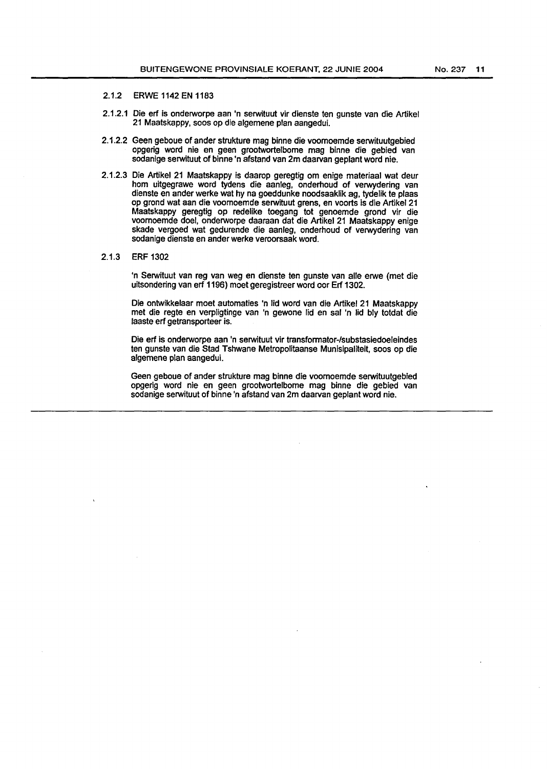#### 2.1.2 ERWE 1142 EN 1183

- 2.1.2.1 Die erf is onderworpe aan 'n serwituut vir dienste ten gunste van die Artikel 21 Maatskappy, soos op die algemene plan aangedui.
- 2.1.2.2 Geen geboue of ander strukture mag binne die voomoemde serwituutgebied opgerig word nie en geen grootwortelbome mag binne die gebied van sodanige serwituut of binne 'n afstand van 2m daarvan geplant word nie.
- 2.1.2.3 Die Artikel 21 Maatskappy is daarop geregtig om enige materiaal wat deur hom uitgegrawe word tydens die aanleg, onderhoud of verwydering van dienste en ander werke wat hy na goeddunke noodsaaklik ag, tydelik te plaas op grond wat aan die voomoemde serwituut grens, en voorts is die Artikel 21 Maatskappy geregtig op redelike toegang tot genoemde grond vir die voomoemde doel, onderworpe daaraan dat die Artikel 21 Maatskappy enige skade vergoed wat gedurende die aanleg, onderhoud of verwydering van sodanige dienste en ander werke veroorsaak word.
- 2.1.3 ERF 1302

'n Serwituut van reg van weg en dienste ten gunste van aile erwe (met die uitsondering van erf 1196) moet geregistreer word oor Erf 1302.

Die ontwikkelaar moet automaties 'n lid word van die Artikel 21 Maatskappy met die regte en verpligtinge van 'n gewone lid en sal 'n lid bly totdat die laaste erf getransporteer is.

Die erf is onderworpe aan 'n serwituut vir transformator-/substasiedoeleindes ten gunste van die Stad Tshwane Metropolitaanse Munisipaliteit, soos op die algemene plan aangedui.

Geen geboue of ander strukture mag binne die voomoemde serwituutgebied opgerig word nie en geen grootwortelbome mag binne die gebied van sodanige serwituut of binne 'n afstand van 2m daarvan geplant word nie.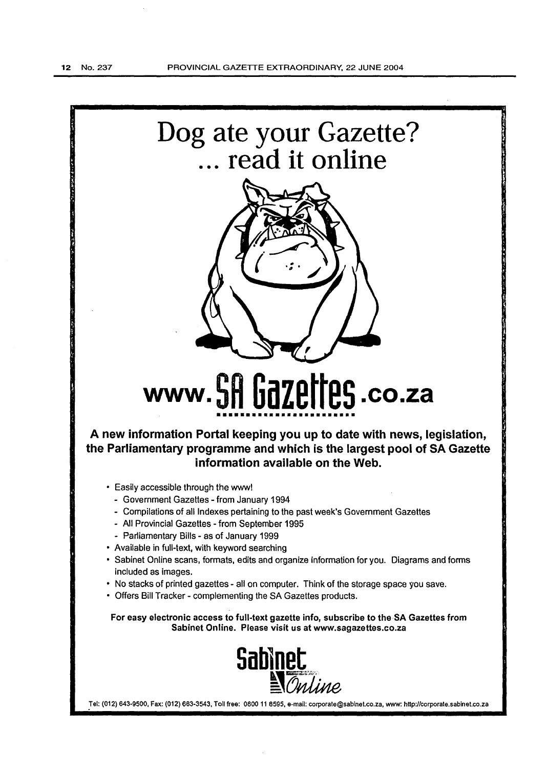

For easy electronic access to full-text gazette info, subscribe to the SA Gazettes from Sabinet Online. Please visit us at www.sagazettes.co.za



Tel: (012) 643-9500, Fax: (012) 663-3543, Toll free: 0800 11 6595, e-mail: corporate@sabinet.co.za, www: http://corporate.sabinet.co.za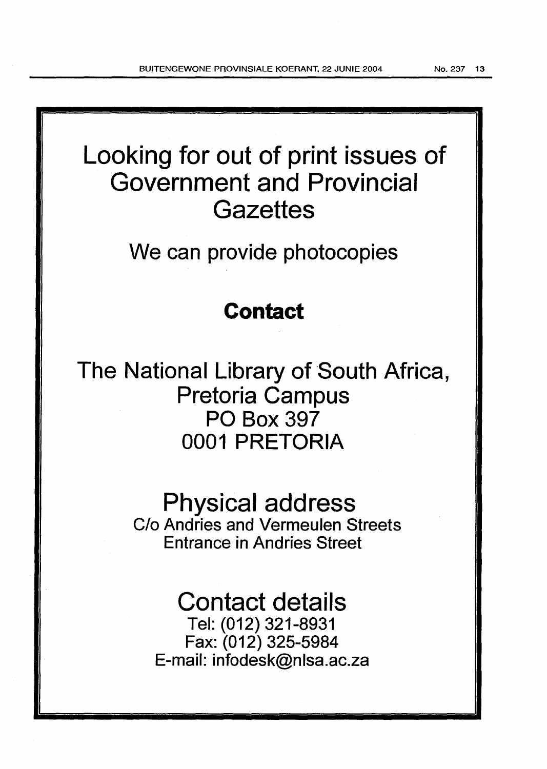# Looking for out of print issues of Government and Provincial **Gazettes**

We can provide photocopies

### **Contact**

The National Library of South Africa, Pretoria Campus PO Box 397 0001 PRETORIA

> Physical address C/o Andries and Vermeulen Streets Entrance in Andries Street

## Contact details

Tel: (012) 321-8931 Fax: (012) 325-5984 E-mail: infodesk@nlsa.ac.za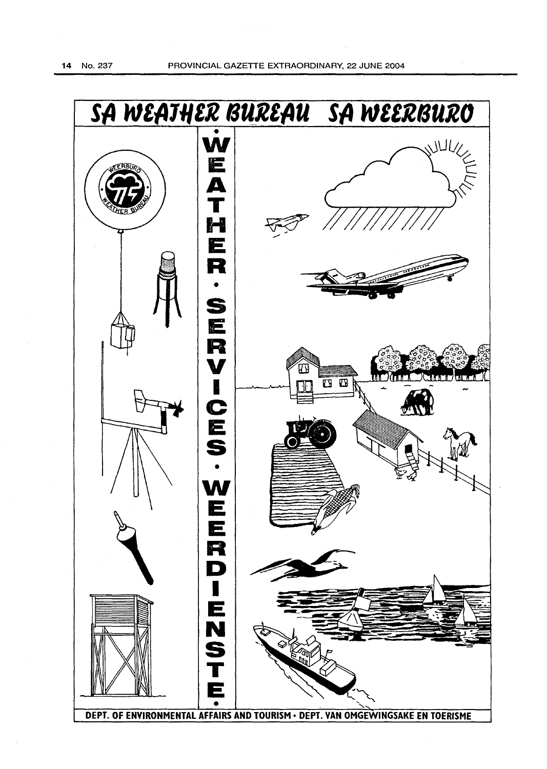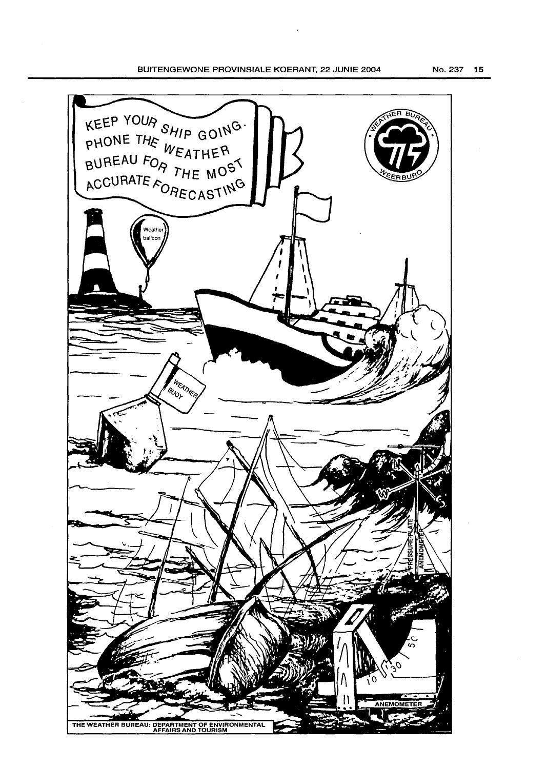